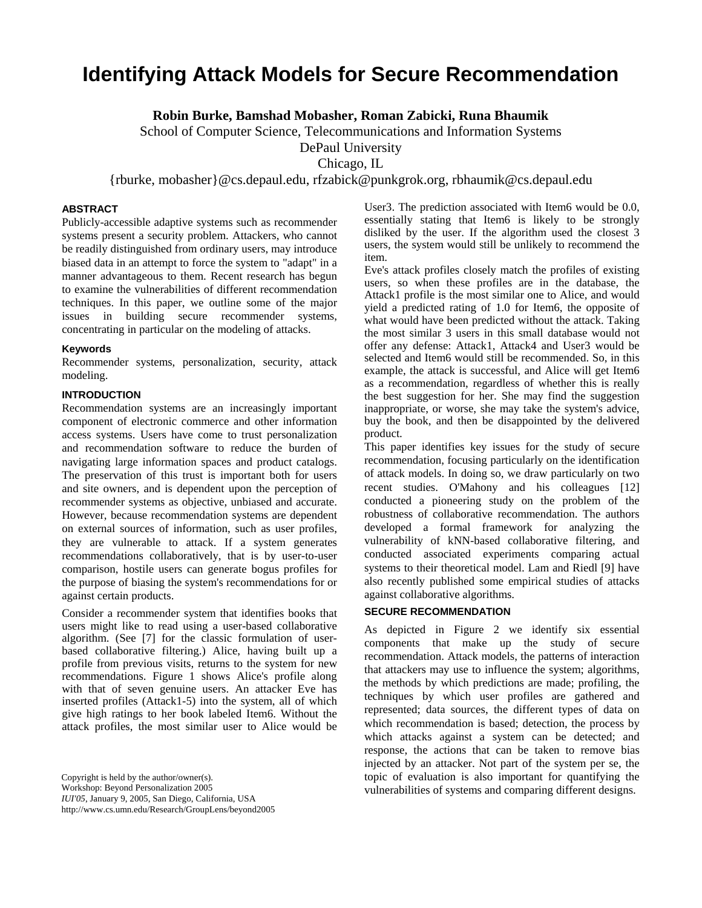# **Identifying Attack Models for Secure Recommendation**

**Robin Burke, Bamshad Mobasher, Roman Zabicki, Runa Bhaumik** 

School of Computer Science, Telecommunications and Information Systems

DePaul University

Chicago, IL

{rburke, mobasher}@cs.depaul.edu, rfzabick@punkgrok.org, rbhaumik@cs.depaul.edu

# **ABSTRACT**

Publicly-accessible adaptive systems such as recommender systems present a security problem. Attackers, who cannot be readily distinguished from ordinary users, may introduce biased data in an attempt to force the system to "adapt" in a manner advantageous to them. Recent research has begun to examine the vulnerabilities of different recommendation techniques. In this paper, we outline some of the major issues in building secure recommender systems, concentrating in particular on the modeling of attacks.

#### **Keywords**

Recommender systems, personalization, security, attack modeling.

#### **INTRODUCTION**

Recommendation systems are an increasingly important component of electronic commerce and other information access systems. Users have come to trust personalization and recommendation software to reduce the burden of navigating large information spaces and product catalogs. The preservation of this trust is important both for users and site owners, and is dependent upon the perception of recommender systems as objective, unbiased and accurate. However, because recommendation systems are dependent on external sources of information, such as user profiles, they are vulnerable to attack. If a system generates recommendations collaboratively, that is by user-to-user comparison, hostile users can generate bogus profiles for the purpose of biasing the system's recommendations for or against certain products.

Consider a recommender system that identifies books that users might like to read using a user-based collaborative algorithm. (See [7] for the classic formulation of userbased collaborative filtering.) Alice, having built up a profile from previous visits, returns to the system for new recommendations. Figure 1 shows Alice's profile along with that of seven genuine users. An attacker Eve has inserted profiles (Attack1-5) into the system, all of which give high ratings to her book labeled Item6. Without the attack profiles, the most similar user to Alice would be

Workshop: Beyond Personalization 2005

*IUI'05*, January 9, 2005, San Diego, California, USA

http://www.cs.umn.edu/Research/GroupLens/beyond2005

User3. The prediction associated with Item6 would be 0.0, essentially stating that Item6 is likely to be strongly disliked by the user. If the algorithm used the closest 3 users, the system would still be unlikely to recommend the item.

Eve's attack profiles closely match the profiles of existing users, so when these profiles are in the database, the Attack1 profile is the most similar one to Alice, and would yield a predicted rating of 1.0 for Item6, the opposite of what would have been predicted without the attack. Taking the most similar 3 users in this small database would not offer any defense: Attack1, Attack4 and User3 would be selected and Item6 would still be recommended. So, in this example, the attack is successful, and Alice will get Item6 as a recommendation, regardless of whether this is really the best suggestion for her. She may find the suggestion inappropriate, or worse, she may take the system's advice, buy the book, and then be disappointed by the delivered product.

This paper identifies key issues for the study of secure recommendation, focusing particularly on the identification of attack models. In doing so, we draw particularly on two recent studies. O'Mahony and his colleagues [12] conducted a pioneering study on the problem of the robustness of collaborative recommendation. The authors developed a formal framework for analyzing the vulnerability of kNN-based collaborative filtering, and conducted associated experiments comparing actual systems to their theoretical model. Lam and Riedl [9] have also recently published some empirical studies of attacks against collaborative algorithms.

## **SECURE RECOMMENDATION**

As depicted in Figure 2 we identify six essential components that make up the study of secure recommendation. Attack models, the patterns of interaction that attackers may use to influence the system; algorithms, the methods by which predictions are made; profiling, the techniques by which user profiles are gathered and represented; data sources, the different types of data on which recommendation is based; detection, the process by which attacks against a system can be detected; and response, the actions that can be taken to remove bias injected by an attacker. Not part of the system per se, the topic of evaluation is also important for quantifying the vulnerabilities of systems and comparing different designs.

Copyright is held by the author/owner(s).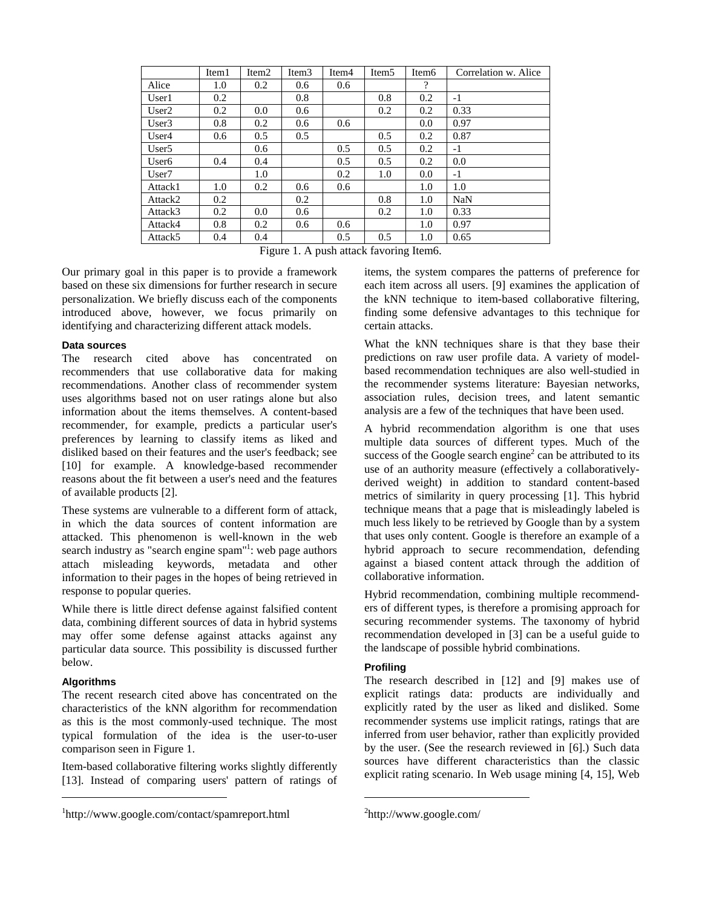|                   | Item1 | Item <sub>2</sub> | Item <sub>3</sub> | Item4 | Item <sub>5</sub> | Item6    | Correlation w. Alice |
|-------------------|-------|-------------------|-------------------|-------|-------------------|----------|----------------------|
| Alice             | 1.0   | 0.2               | 0.6               | 0.6   |                   | $\gamma$ |                      |
| User1             | 0.2   |                   | 0.8               |       | 0.8               | 0.2      | $-1$                 |
| User2             | 0.2   | 0.0               | 0.6               |       | 0.2               | 0.2      | 0.33                 |
| User <sub>3</sub> | 0.8   | 0.2               | 0.6               | 0.6   |                   | 0.0      | 0.97                 |
| User4             | 0.6   | 0.5               | 0.5               |       | 0.5               | 0.2      | 0.87                 |
| User <sub>5</sub> |       | 0.6               |                   | 0.5   | 0.5               | 0.2      | $-1$                 |
| User <sub>6</sub> | 0.4   | 0.4               |                   | 0.5   | 0.5               | 0.2      | 0.0                  |
| User <sub>7</sub> |       | 1.0               |                   | 0.2   | 1.0               | 0.0      | -1                   |
| Attack1           | 1.0   | 0.2               | 0.6               | 0.6   |                   | 1.0      | 1.0                  |
| Attack2           | 0.2   |                   | 0.2               |       | 0.8               | 1.0      | NaN                  |
| Attack3           | 0.2   | 0.0               | 0.6               |       | 0.2               | 1.0      | 0.33                 |
| Attack4           | 0.8   | 0.2               | 0.6               | 0.6   |                   | 1.0      | 0.97                 |
| Attack5           | 0.4   | 0.4               |                   | 0.5   | 0.5               | 1.0      | 0.65                 |

Figure 1. A push attack favoring Item6.

Our primary goal in this paper is to provide a framework based on these six dimensions for further research in secure personalization. We briefly discuss each of the components introduced above, however, we focus primarily on identifying and characterizing different attack models.

#### **Data sources**

The research cited above has concentrated on recommenders that use collaborative data for making recommendations. Another class of recommender system uses algorithms based not on user ratings alone but also information about the items themselves. A content-based recommender, for example, predicts a particular user's preferences by learning to classify items as liked and disliked based on their features and the user's feedback; see [10] for example. A knowledge-based recommender reasons about the fit between a user's need and the features of available products [2].

These systems are vulnerable to a different form of attack, in which the data sources of content information are attacked. This phenomenon is well-known in the web search industry as "search engine spam"<sup>1</sup>[:](#page-1-0) web page authors attach misleading keywords, metadata and other information to their pages in the hopes of being retrieved in response to popular queries.

While there is little direct defense against falsified content data, combining different sources of data in hybrid systems may offer some defense against attacks against any particular data source. This possibility is discussed further below.

# **Algorithms**

 $\overline{a}$ 

The recent research cited above has concentrated on the characteristics of the kNN algorithm for recommendation as this is the most commonly-used technique. The most typical formulation of the idea is the user-to-user comparison seen in Figure 1.

Item-based collaborative filtering works slightly differently [13]. Instead of comparing users' pattern of ratings of items, the system compares the patterns of preference for each item across all users. [9] examines the application of the kNN technique to item-based collaborative filtering, finding some defensive advantages to this technique for certain attacks.

What the kNN techniques share is that they base their predictions on raw user profile data. A variety of modelbased recommendation techniques are also well-studied in the recommender systems literature: Bayesian networks, association rules, decision trees, and latent semantic analysis are a few of the techniques that have been used.

A hybrid recommendation algorithm is one that uses multiple data sources of different types. Much of the success of the Google search engine<sup>2</sup> [c](#page-1-1)an be attributed to its use of an authority measure (effectively a collaborativelyderived weight) in addition to standard content-based metrics of similarity in query processing [1]. This hybrid technique means that a page that is misleadingly labeled is much less likely to be retrieved by Google than by a system that uses only content. Google is therefore an example of a hybrid approach to secure recommendation, defending against a biased content attack through the addition of collaborative information.

Hybrid recommendation, combining multiple recommenders of different types, is therefore a promising approach for securing recommender systems. The taxonomy of hybrid recommendation developed in [3] can be a useful guide to the landscape of possible hybrid combinations.

# **Profiling**

The research described in [12] and [9] makes use of explicit ratings data: products are individually and explicitly rated by the user as liked and disliked. Some recommender systems use implicit ratings, ratings that are inferred from user behavior, rather than explicitly provided by the user. (See the research reviewed in [6].) Such data sources have different characteristics than the classic explicit rating scenario. In Web usage mining [4, 15], Web

<span id="page-1-0"></span><sup>1</sup> http://www.google.com/contact/spamreport.html

<span id="page-1-1"></span><sup>&</sup>lt;sup>2</sup>http://www.google.com/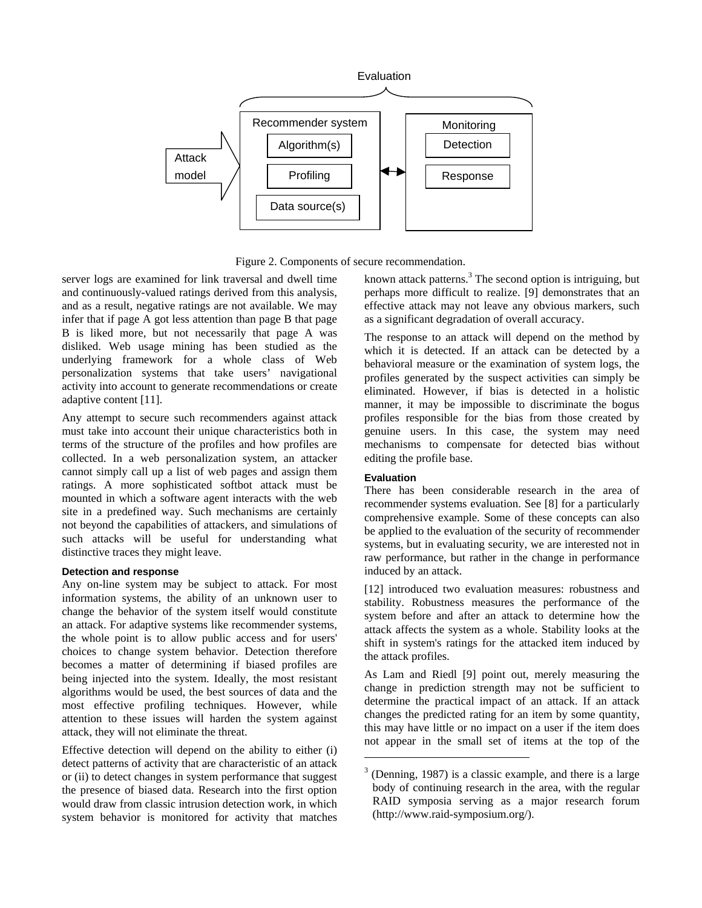

Figure 2. Components of secure recommendation.

server logs are examined for link traversal and dwell time and continuously-valued ratings derived from this analysis, and as a result, negative ratings are not available. We may infer that if page A got less attention than page B that page B is liked more, but not necessarily that page A was disliked. Web usage mining has been studied as the underlying framework for a whole class of Web personalization systems that take users' navigational activity into account to generate recommendations or create adaptive content [11].

Any attempt to secure such recommenders against attack must take into account their unique characteristics both in terms of the structure of the profiles and how profiles are collected. In a web personalization system, an attacker cannot simply call up a list of web pages and assign them ratings. A more sophisticated softbot attack must be mounted in which a software agent interacts with the web site in a predefined way. Such mechanisms are certainly not beyond the capabilities of attackers, and simulations of such attacks will be useful for understanding what distinctive traces they might leave.

#### **Detection and response**

Any on-line system may be subject to attack. For most information systems, the ability of an unknown user to change the behavior of the system itself would constitute an attack. For adaptive systems like recommender systems, the whole point is to allow public access and for users' choices to change system behavior. Detection therefore becomes a matter of determining if biased profiles are being injected into the system. Ideally, the most resistant algorithms would be used, the best sources of data and the most effective profiling techniques. However, while attention to these issues will harden the system against attack, they will not eliminate the threat.

Effective detection will depend on the ability to either (i) detect patterns of activity that are characteristic of an attack or (ii) to detect changes in system performance that suggest the presence of biased data. Research into the first option would draw from classic intrusion detection work, in which system behavior is monitored for activity that matches

known attack patterns.<sup>3</sup> [T](#page-2-0)he second option is intriguing, but perhaps more difficult to realize. [9] demonstrates that an effective attack may not leave any obvious markers, such as a significant degradation of overall accuracy.

The response to an attack will depend on the method by which it is detected. If an attack can be detected by a behavioral measure or the examination of system logs, the profiles generated by the suspect activities can simply be eliminated. However, if bias is detected in a holistic manner, it may be impossible to discriminate the bogus profiles responsible for the bias from those created by genuine users. In this case, the system may need mechanisms to compensate for detected bias without editing the profile base.

#### **Evaluation**

1

There has been considerable research in the area of recommender systems evaluation. See [8] for a particularly comprehensive example. Some of these concepts can also be applied to the evaluation of the security of recommender systems, but in evaluating security, we are interested not in raw performance, but rather in the change in performance induced by an attack.

[12] introduced two evaluation measures: robustness and stability. Robustness measures the performance of the system before and after an attack to determine how the attack affects the system as a whole. Stability looks at the shift in system's ratings for the attacked item induced by the attack profiles.

As Lam and Riedl [9] point out, merely measuring the change in prediction strength may not be sufficient to determine the practical impact of an attack. If an attack changes the predicted rating for an item by some quantity, this may have little or no impact on a user if the item does not appear in the small set of items at the top of the

<span id="page-2-0"></span> $3$  (Denning, 1987) is a classic example, and there is a large body of continuing research in the area, with the regular RAID symposia serving as a major research forum (http://www.raid-symposium.org/).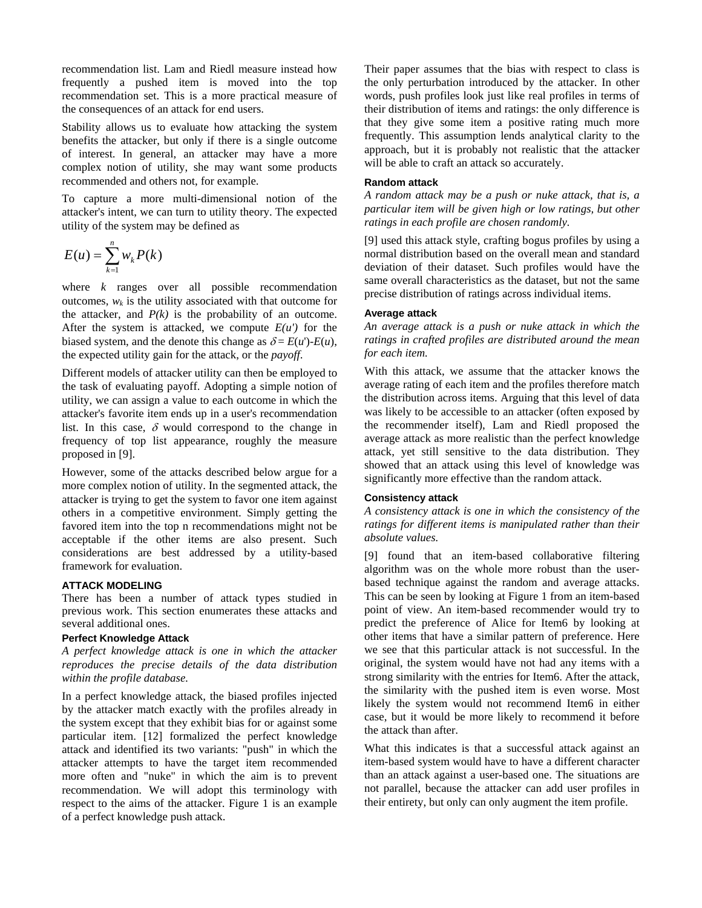recommendation list. Lam and Riedl measure instead how frequently a pushed item is moved into the top recommendation set. This is a more practical measure of the consequences of an attack for end users.

Stability allows us to evaluate how attacking the system benefits the attacker, but only if there is a single outcome of interest. In general, an attacker may have a more complex notion of utility, she may want some products recommended and others not, for example.

To capture a more multi-dimensional notion of the attacker's intent, we can turn to utility theory. The expected utility of the system may be defined as

$$
E(u) = \sum_{k=1}^{n} w_k P(k)
$$

where *k* ranges over all possible recommendation outcomes,  $w_k$  is the utility associated with that outcome for the attacker, and  $P(k)$  is the probability of an outcome. After the system is attacked, we compute  $E(u')$  for the biased system, and the denote this change as  $\delta = E(u') - E(u)$ , the expected utility gain for the attack, or the *payoff*.

Different models of attacker utility can then be employed to the task of evaluating payoff. Adopting a simple notion of utility, we can assign a value to each outcome in which the attacker's favorite item ends up in a user's recommendation list. In this case,  $\delta$  would correspond to the change in frequency of top list appearance, roughly the measure proposed in [9].

However, some of the attacks described below argue for a more complex notion of utility. In the segmented attack, the attacker is trying to get the system to favor one item against others in a competitive environment. Simply getting the favored item into the top n recommendations might not be acceptable if the other items are also present. Such considerations are best addressed by a utility-based framework for evaluation.

# **ATTACK MODELING**

There has been a number of attack types studied in previous work. This section enumerates these attacks and several additional ones.

#### **Perfect Knowledge Attack**

*A perfect knowledge attack is one in which the attacker reproduces the precise details of the data distribution within the profile database.* 

In a perfect knowledge attack, the biased profiles injected by the attacker match exactly with the profiles already in the system except that they exhibit bias for or against some particular item. [12] formalized the perfect knowledge attack and identified its two variants: "push" in which the attacker attempts to have the target item recommended more often and "nuke" in which the aim is to prevent recommendation. We will adopt this terminology with respect to the aims of the attacker. Figure 1 is an example of a perfect knowledge push attack.

Their paper assumes that the bias with respect to class is the only perturbation introduced by the attacker. In other words, push profiles look just like real profiles in terms of their distribution of items and ratings: the only difference is that they give some item a positive rating much more frequently. This assumption lends analytical clarity to the approach, but it is probably not realistic that the attacker will be able to craft an attack so accurately.

#### **Random attack**

*A random attack may be a push or nuke attack, that is, a particular item will be given high or low ratings, but other ratings in each profile are chosen randomly.* 

[9] used this attack style, crafting bogus profiles by using a normal distribution based on the overall mean and standard deviation of their dataset. Such profiles would have the same overall characteristics as the dataset, but not the same precise distribution of ratings across individual items.

#### **Average attack**

*An average attack is a push or nuke attack in which the ratings in crafted profiles are distributed around the mean for each item.* 

With this attack, we assume that the attacker knows the average rating of each item and the profiles therefore match the distribution across items. Arguing that this level of data was likely to be accessible to an attacker (often exposed by the recommender itself), Lam and Riedl proposed the average attack as more realistic than the perfect knowledge attack, yet still sensitive to the data distribution. They showed that an attack using this level of knowledge was significantly more effective than the random attack.

## **Consistency attack**

*A consistency attack is one in which the consistency of the ratings for different items is manipulated rather than their absolute values.* 

[9] found that an item-based collaborative filtering algorithm was on the whole more robust than the userbased technique against the random and average attacks. This can be seen by looking at Figure 1 from an item-based point of view. An item-based recommender would try to predict the preference of Alice for Item6 by looking at other items that have a similar pattern of preference. Here we see that this particular attack is not successful. In the original, the system would have not had any items with a strong similarity with the entries for Item6. After the attack, the similarity with the pushed item is even worse. Most likely the system would not recommend Item6 in either case, but it would be more likely to recommend it before the attack than after.

What this indicates is that a successful attack against an item-based system would have to have a different character than an attack against a user-based one. The situations are not parallel, because the attacker can add user profiles in their entirety, but only can only augment the item profile.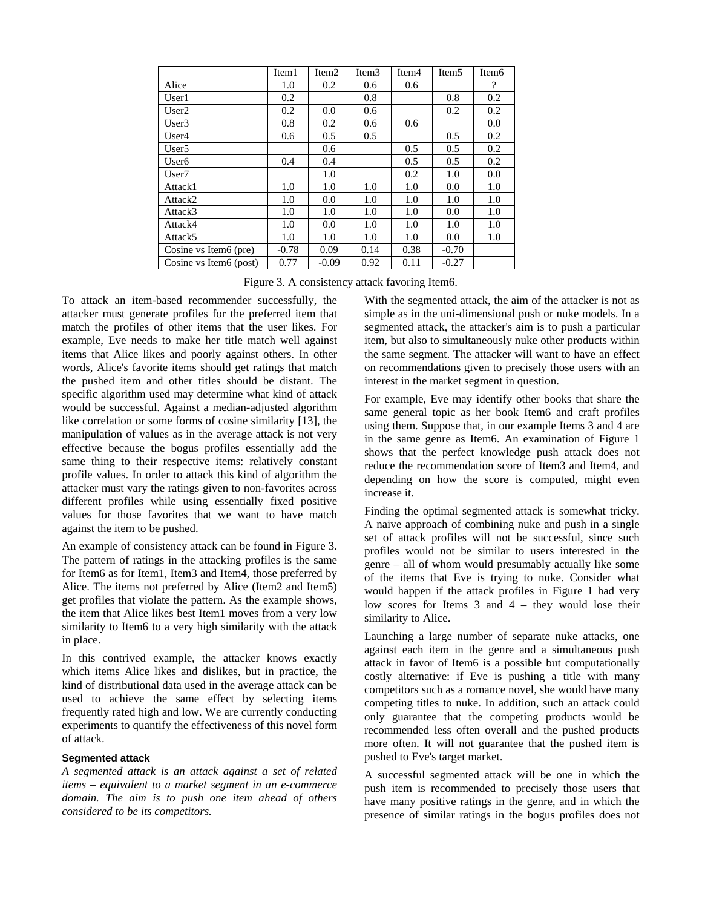|                         | Item1   | Item <sub>2</sub> | Item <sub>3</sub> | Item <sub>4</sub> | Item <sub>5</sub> | Item <sub>6</sub>        |
|-------------------------|---------|-------------------|-------------------|-------------------|-------------------|--------------------------|
| Alice                   | 1.0     | 0.2               | 0.6               | 0.6               |                   | $\overline{\mathcal{L}}$ |
| User1                   | 0.2     |                   | 0.8               |                   | 0.8               | 0.2                      |
| User <sub>2</sub>       | 0.2     | 0.0               | 0.6               |                   | 0.2               | 0.2                      |
| User3                   | 0.8     | 0.2               | 0.6               | 0.6               |                   | 0.0                      |
| User4                   | 0.6     | 0.5               | 0.5               |                   | 0.5               | 0.2                      |
| User <sub>5</sub>       |         | 0.6               |                   | 0.5               | 0.5               | 0.2                      |
| User <sub>6</sub>       | 0.4     | 0.4               |                   | 0.5               | 0.5               | 0.2                      |
| User <sub>7</sub>       |         | 1.0               |                   | 0.2               | 1.0               | 0.0                      |
| Attack1                 | 1.0     | 1.0               | 1.0               | 1.0               | 0.0               | 1.0                      |
| Attack2                 | 1.0     | 0.0               | 1.0               | 1.0               | 1.0               | 1.0                      |
| Attack3                 | 1.0     | 1.0               | 1.0               | 1.0               | 0.0               | 1.0                      |
| Attack4                 | 1.0     | 0.0               | 1.0               | 1.0               | 1.0               | 1.0                      |
| Attack5                 | 1.0     | 1.0               | 1.0               | 1.0               | 0.0               | 1.0                      |
| Cosine vs Item6 (pre)   | $-0.78$ | 0.09              | 0.14              | 0.38              | $-0.70$           |                          |
| Cosine vs Item 6 (post) | 0.77    | $-0.09$           | 0.92              | 0.11              | $-0.27$           |                          |

Figure 3. A consistency attack favoring Item6.

To attack an item-based recommender successfully, the attacker must generate profiles for the preferred item that match the profiles of other items that the user likes. For example, Eve needs to make her title match well against items that Alice likes and poorly against others. In other words, Alice's favorite items should get ratings that match the pushed item and other titles should be distant. The specific algorithm used may determine what kind of attack would be successful. Against a median-adjusted algorithm like correlation or some forms of cosine similarity [13], the manipulation of values as in the average attack is not very effective because the bogus profiles essentially add the same thing to their respective items: relatively constant profile values. In order to attack this kind of algorithm the attacker must vary the ratings given to non-favorites across different profiles while using essentially fixed positive values for those favorites that we want to have match against the item to be pushed.

An example of consistency attack can be found in Figure 3. The pattern of ratings in the attacking profiles is the same for Item6 as for Item1, Item3 and Item4, those preferred by Alice. The items not preferred by Alice (Item2 and Item5) get profiles that violate the pattern. As the example shows, the item that Alice likes best Item1 moves from a very low similarity to Item6 to a very high similarity with the attack in place.

In this contrived example, the attacker knows exactly which items Alice likes and dislikes, but in practice, the kind of distributional data used in the average attack can be used to achieve the same effect by selecting items frequently rated high and low. We are currently conducting experiments to quantify the effectiveness of this novel form of attack.

#### **Segmented attack**

*A segmented attack is an attack against a set of related items – equivalent to a market segment in an e-commerce domain. The aim is to push one item ahead of others considered to be its competitors.* 

With the segmented attack, the aim of the attacker is not as simple as in the uni-dimensional push or nuke models. In a segmented attack, the attacker's aim is to push a particular item, but also to simultaneously nuke other products within the same segment. The attacker will want to have an effect on recommendations given to precisely those users with an interest in the market segment in question.

For example, Eve may identify other books that share the same general topic as her book Item6 and craft profiles using them. Suppose that, in our example Items 3 and 4 are in the same genre as Item6. An examination of Figure 1 shows that the perfect knowledge push attack does not reduce the recommendation score of Item3 and Item4, and depending on how the score is computed, might even increase it.

Finding the optimal segmented attack is somewhat tricky. A naive approach of combining nuke and push in a single set of attack profiles will not be successful, since such profiles would not be similar to users interested in the genre – all of whom would presumably actually like some of the items that Eve is trying to nuke. Consider what would happen if the attack profiles in Figure 1 had very low scores for Items 3 and 4 – they would lose their similarity to Alice.

Launching a large number of separate nuke attacks, one against each item in the genre and a simultaneous push attack in favor of Item6 is a possible but computationally costly alternative: if Eve is pushing a title with many competitors such as a romance novel, she would have many competing titles to nuke. In addition, such an attack could only guarantee that the competing products would be recommended less often overall and the pushed products more often. It will not guarantee that the pushed item is pushed to Eve's target market.

A successful segmented attack will be one in which the push item is recommended to precisely those users that have many positive ratings in the genre, and in which the presence of similar ratings in the bogus profiles does not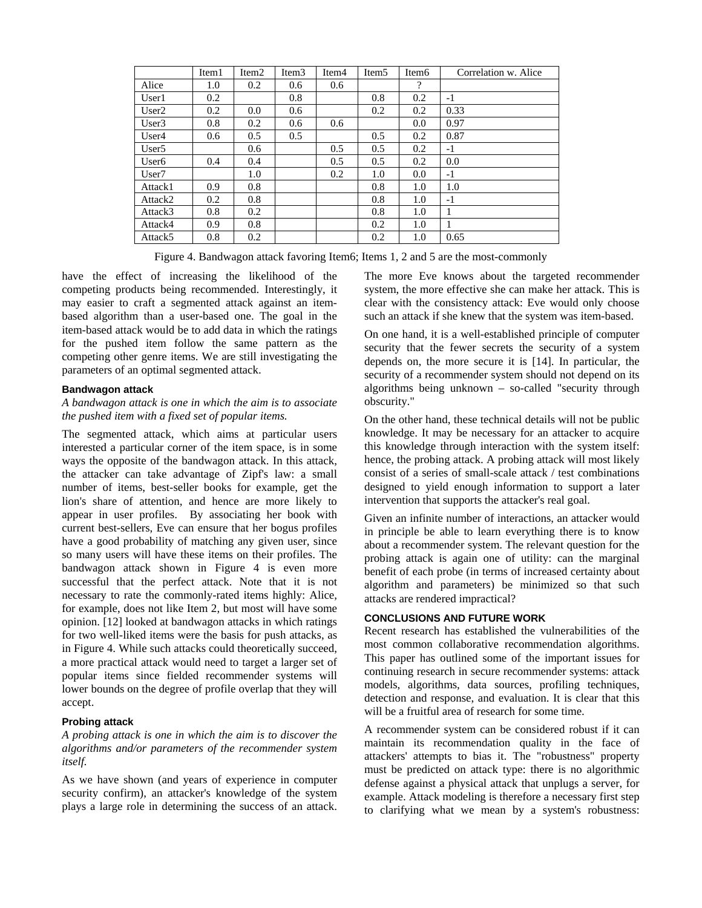|                     | Item <sub>1</sub> | Item <sub>2</sub> | Item <sub>3</sub> | Item <sub>4</sub> | Item <sub>5</sub> | Item <sub>6</sub>  | Correlation w. Alice |
|---------------------|-------------------|-------------------|-------------------|-------------------|-------------------|--------------------|----------------------|
| Alice               | 1.0               | 0.2               | 0.6               | 0.6               |                   | $\overline{\cdot}$ |                      |
| User1               | 0.2               |                   | 0.8               |                   | 0.8               | 0.2                | $-1$                 |
| User2               | 0.2               | 0.0               | 0.6               |                   | 0.2               | 0.2                | 0.33                 |
| User3               | 0.8               | 0.2               | 0.6               | 0.6               |                   | 0.0                | 0.97                 |
| User4               | 0.6               | 0.5               | 0.5               |                   | 0.5               | 0.2                | 0.87                 |
| User <sub>5</sub>   |                   | 0.6               |                   | 0.5               | 0.5               | 0.2                | $-1$                 |
| User <sub>6</sub>   | 0.4               | 0.4               |                   | 0.5               | 0.5               | 0.2                | 0.0                  |
| User <sub>7</sub>   |                   | 1.0               |                   | 0.2               | 1.0               | 0.0                | $-1$                 |
| Attack1             | 0.9               | 0.8               |                   |                   | 0.8               | 1.0                | 1.0                  |
| Attack2             | 0.2               | 0.8               |                   |                   | 0.8               | 1.0                | $-1$                 |
| Attack3             | 0.8               | 0.2               |                   |                   | 0.8               | 1.0                | 1                    |
| Attack4             | 0.9               | 0.8               |                   |                   | 0.2               | 1.0                |                      |
| Attack <sub>5</sub> | 0.8               | 0.2               |                   |                   | 0.2               | 1.0                | 0.65                 |

Figure 4. Bandwagon attack favoring Item6; Items 1, 2 and 5 are the most-commonly

have the effect of increasing the likelihood of the competing products being recommended. Interestingly, it may easier to craft a segmented attack against an itembased algorithm than a user-based one. The goal in the item-based attack would be to add data in which the ratings for the pushed item follow the same pattern as the competing other genre items. We are still investigating the parameters of an optimal segmented attack.

#### **Bandwagon attack**

# *A bandwagon attack is one in which the aim is to associate the pushed item with a fixed set of popular items.*

The segmented attack, which aims at particular users interested a particular corner of the item space, is in some ways the opposite of the bandwagon attack. In this attack, the attacker can take advantage of Zipf's law: a small number of items, best-seller books for example, get the lion's share of attention, and hence are more likely to appear in user profiles. By associating her book with current best-sellers, Eve can ensure that her bogus profiles have a good probability of matching any given user, since so many users will have these items on their profiles. The bandwagon attack shown in Figure 4 is even more successful that the perfect attack. Note that it is not necessary to rate the commonly-rated items highly: Alice, for example, does not like Item 2, but most will have some opinion. [12] looked at bandwagon attacks in which ratings for two well-liked items were the basis for push attacks, as in Figure 4. While such attacks could theoretically succeed, a more practical attack would need to target a larger set of popular items since fielded recommender systems will lower bounds on the degree of profile overlap that they will accept.

#### **Probing attack**

## *A probing attack is one in which the aim is to discover the algorithms and/or parameters of the recommender system itself.*

As we have shown (and years of experience in computer security confirm), an attacker's knowledge of the system plays a large role in determining the success of an attack.

The more Eve knows about the targeted recommender system, the more effective she can make her attack. This is clear with the consistency attack: Eve would only choose such an attack if she knew that the system was item-based.

On one hand, it is a well-established principle of computer security that the fewer secrets the security of a system depends on, the more secure it is [14]. In particular, the security of a recommender system should not depend on its algorithms being unknown – so-called "security through obscurity."

On the other hand, these technical details will not be public knowledge. It may be necessary for an attacker to acquire this knowledge through interaction with the system itself: hence, the probing attack. A probing attack will most likely consist of a series of small-scale attack / test combinations designed to yield enough information to support a later intervention that supports the attacker's real goal.

Given an infinite number of interactions, an attacker would in principle be able to learn everything there is to know about a recommender system. The relevant question for the probing attack is again one of utility: can the marginal benefit of each probe (in terms of increased certainty about algorithm and parameters) be minimized so that such attacks are rendered impractical?

## **CONCLUSIONS AND FUTURE WORK**

Recent research has established the vulnerabilities of the most common collaborative recommendation algorithms. This paper has outlined some of the important issues for continuing research in secure recommender systems: attack models, algorithms, data sources, profiling techniques, detection and response, and evaluation. It is clear that this will be a fruitful area of research for some time.

A recommender system can be considered robust if it can maintain its recommendation quality in the face of attackers' attempts to bias it. The "robustness" property must be predicted on attack type: there is no algorithmic defense against a physical attack that unplugs a server, for example. Attack modeling is therefore a necessary first step to clarifying what we mean by a system's robustness: